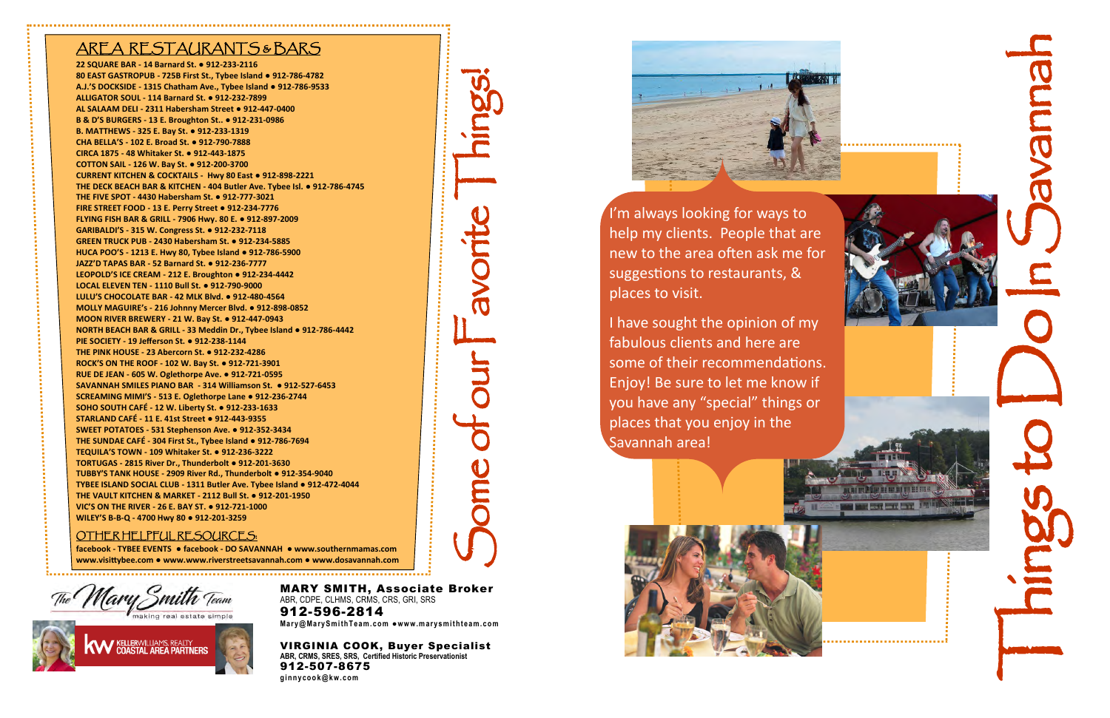

help my clients. People that are new to the area often ask me for suggestions to restaurants, & places to visit.

I have sought the opinion of my fabulous clients and here are some of their recommendations. Enjoy! Be sure to let me know if you have any "special" things or places that you enjoy in the Savannah area!



VIRGINIA COOK, Buyer Specialist **ABR, CRMS, SRES, SRS, Certified Historic Preservationist** 912 -507 -8675 **ginnycoo k@k w. com** 

# Some of our Favorite Things!

# AREA RESTAURANTS & BARS

**22 SQUARE BAR - 14 Barnard St. ● 912 -233 -2116 80 EAST GASTROPUB - 725B First St., Tybee Island ● 912 -786 -4782 A.J.'S DOCKSIDE - 1315 Chatham Ave., Tybee Island ● 912 -786 -9533 ALLIGATOR SOUL - 114 Barnard St. ● 912 -232 -7899 AL SALAAM DELI - 2311 Habersham Street ● 912 -447 -0400 B & D'S BURGERS - 13 E. Broughton St.. ● 912 -231 -0986 B. MATTHEWS - 325 E. Bay St. ● 912 -233 -1319 CHA BELLA'S - 102 E. Broad St. ● 912 -790 -7888 CIRCA 1875 - 48 Whitaker St. ● 912 -443 -1875 COTTON SAIL - 126 W. Bay St. ● 912 -200 -3700 CURRENT KITCHEN & COCKTAILS - Hwy 80 East ● 912 -898 -2221 THE DECK BEACH BAR & KITCHEN - 404 Butler Ave. Tybee Isl. ● 912 -786 -4745 THE FIVE SPOT - 4430 Habersham St. ● 912 -777 -3021 FIRE STREET FOOD - 13 E. Perry Street ● 912 -234 -7776 FLYING FISH BAR & GRILL - 7906 Hwy. 80 E. ● 912 -897 -2009 GARIBALDI'S - 315 W. Congress St. ● 912 -232 -7118 GREEN TRUCK PUB - 2430 Habersham St. ● 912 -234 -5885 HUCA POO'S - 1213 E. Hwy 80, Tybee Island ● 912 -786 -5900 JAZZ'D TAPAS BAR - 52 Barnard St. ● 912 -236 -7777 LEOPOLD'S ICE CREAM - 212 E. Broughton ● 912 -234 -4442 LOCAL ELEVEN TEN - 1110 Bull St. ● 912 -790 -9000 LULU'S CHOCOLATE BAR - 42 MLK Blvd. ● 912 -480 -4564 MOLLY MAGUIRE's - 216 Johnny Mercer Blvd. ● 912 -898 -0852 MOON RIVER BREWERY - 21 W. Bay St. ● 912 -447 -0943 NORTH BEACH BAR & GRILL - 33 Meddin Dr., Tybee Island ● 912 -786 -4442 PIE SOCIETY - 19 Jefferson St. ● 912 -238 -1144 THE PINK HOUSE - 23 Abercorn St. ● 912 -232 -4286 ROCK'S ON THE ROOF - 102 W. Bay St. ● 912 -721 -3901 RUE DE JEAN - 605 W. Oglethorpe Ave. ● 912 -721 -0595 SAVANNAH SMILES PIANO BAR - 314 Williamson St. ● 912 -527 -6453 SCREAMING MIMI'S - 513 E. Oglethorpe Lane ● 912 -236 -2744 SOHO SOUTH CAFÉ - 12 W. Liberty St. ● 912 -233 -1633 STARLAND CAFÉ - 11 E. 41st Street ● 912 -443 -9355 SWEET POTATOES - 531 Stephenson Ave. ● 912 -352 -3434 THE SUNDAE CAFÉ - 304 First St., Tybee Island ● 912 -786 -7694 TEQUILA'S TOWN - 109 Whitaker St. ● 912 -236 -3222 TORTUGAS - 2815 River Dr., Thunderbolt ● 912 -201 -3630 TUBBY'S TANK HOUSE - 2909 River Rd., Thunderbolt ● 912 -354 -9040 TYBEE ISLAND SOCIAL CLUB - 1311 Butler Ave. Tybee Island ● 912 -472 -4044 THE VAULT KITCHEN & MARKET - 2112 Bull St. ● 912 -201 -1950 VIC'S ON THE RIVER - 26 E. BAY ST. ● 912 -721 -1000 WILEY'S B - B -Q - 4700 Hwy 80 ● 912 -201 -3259**

### OTHER HELPFUL RESOURCES:

**facebook - TYBEE EVENTS ● facebook - DO SAVANNAH ● www.southernmamas.com www.visittybee.com ● www.www.riverstreetsavannah.com ● www.dosavannah.com**





MARY SMITH, Associate Broker ABR, CDPE, CLHMS, CRMS, CRS, GRI, SRS

912 -596 -2814 **Mar y@ Ma rySm i thTe am. com ●ww w.m ary smi th team .com**